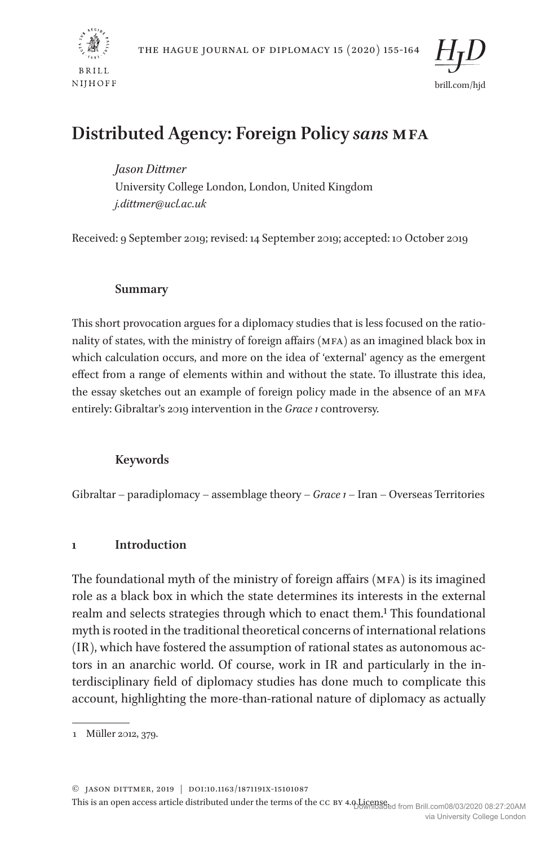



# **Distributed Agency: Foreign Policy** *sans* **MFA**

*Jason Dittmer* University College London, London, United Kingdom *j.dittmer@ucl.ac.uk*

Received: 9 September 2019; revised: 14 September 2019; accepted: 10 October 2019

## **Summary**

This short provocation argues for a diplomacy studies that is less focused on the rationality of states, with the ministry of foreign affairs (MFA) as an imagined black box in which calculation occurs, and more on the idea of 'external' agency as the emergent effect from a range of elements within and without the state. To illustrate this idea, the essay sketches out an example of foreign policy made in the absence of an MFA entirely: Gibraltar's 2019 intervention in the *Grace 1* controversy.

## **Keywords**

Gibraltar – paradiplomacy – assemblage theory – *Grace 1* – Iran – Overseas Territories

## **1 Introduction**

The foundational myth of the ministry of foreign affairs (MFA) is its imagined role as a black box in which the state determines its interests in the external realm and selects strategies through which to enact them.<sup>1</sup> This foundational myth is rooted in the traditional theoretical concerns of international relations (IR), which have fostered the assumption of rational states as autonomous actors in an anarchic world. Of course, work in IR and particularly in the interdisciplinary field of diplomacy studies has done much to complicate this account, highlighting the more-than-rational nature of diplomacy as actually

© Jason Dittmer, 2019 | doi:10.1163/1871191X-15101087

<sup>1</sup> Müller 2012, 379.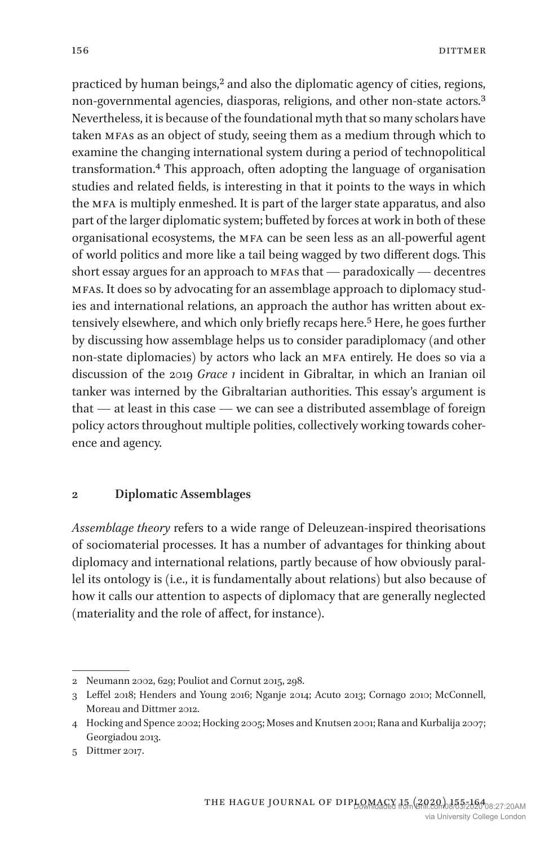practiced by human beings,<sup>2</sup> and also the diplomatic agency of cities, regions, non-governmental agencies, diasporas, religions, and other non-state actors.3 Nevertheless, it is because of the foundational myth that so many scholars have taken MFAs as an object of study, seeing them as a medium through which to examine the changing international system during a period of technopolitical transformation.4 This approach, often adopting the language of organisation studies and related fields, is interesting in that it points to the ways in which the MFA is multiply enmeshed. It is part of the larger state apparatus, and also part of the larger diplomatic system; buffeted by forces at work in both of these organisational ecosystems, the MFA can be seen less as an all-powerful agent of world politics and more like a tail being wagged by two different dogs. This short essay argues for an approach to MFAs that — paradoxically — decentres MFAs. It does so by advocating for an assemblage approach to diplomacy studies and international relations, an approach the author has written about extensively elsewhere, and which only briefly recaps here.<sup>5</sup> Here, he goes further by discussing how assemblage helps us to consider paradiplomacy (and other non-state diplomacies) by actors who lack an MFA entirely. He does so via a discussion of the 2019 *Grace 1* incident in Gibraltar, in which an Iranian oil tanker was interned by the Gibraltarian authorities. This essay's argument is that — at least in this case — we can see a distributed assemblage of foreign policy actors throughout multiple polities, collectively working towards coherence and agency.

### **2 Diplomatic Assemblages**

*Assemblage theory* refers to a wide range of Deleuzean-inspired theorisations of sociomaterial processes. It has a number of advantages for thinking about diplomacy and international relations, partly because of how obviously parallel its ontology is (i.e., it is fundamentally about relations) but also because of how it calls our attention to aspects of diplomacy that are generally neglected (materiality and the role of affect, for instance).

<sup>2</sup> Neumann 2002, 629; Pouliot and Cornut 2015, 298.

<sup>3</sup> Leffel 2018; Henders and Young 2016; Nganje 2014; Acuto 2013; Cornago 2010; McConnell, Moreau and Dittmer 2012.

<sup>4</sup> Hocking and Spence 2002; Hocking 2005; Moses and Knutsen 2001; Rana and Kurbalija 2007; Georgiadou 2013.

<sup>5</sup> Dittmer 2017.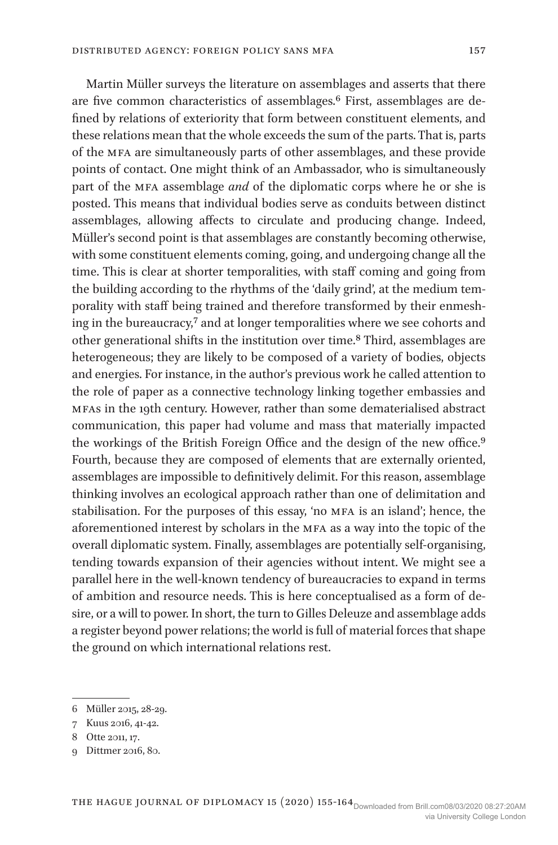Martin Müller surveys the literature on assemblages and asserts that there are five common characteristics of assemblages.6 First, assemblages are defined by relations of exteriority that form between constituent elements, and these relations mean that the whole exceeds the sum of the parts. That is, parts of the MFA are simultaneously parts of other assemblages, and these provide points of contact. One might think of an Ambassador, who is simultaneously part of the MFA assemblage *and* of the diplomatic corps where he or she is posted. This means that individual bodies serve as conduits between distinct assemblages, allowing affects to circulate and producing change. Indeed, Müller's second point is that assemblages are constantly becoming otherwise, with some constituent elements coming, going, and undergoing change all the time. This is clear at shorter temporalities, with staff coming and going from the building according to the rhythms of the 'daily grind', at the medium temporality with staff being trained and therefore transformed by their enmeshing in the bureaucracy,7 and at longer temporalities where we see cohorts and other generational shifts in the institution over time.8 Third, assemblages are heterogeneous; they are likely to be composed of a variety of bodies, objects and energies. For instance, in the author's previous work he called attention to the role of paper as a connective technology linking together embassies and MFAs in the 19th century. However, rather than some dematerialised abstract communication, this paper had volume and mass that materially impacted the workings of the British Foreign Office and the design of the new office.9 Fourth, because they are composed of elements that are externally oriented, assemblages are impossible to definitively delimit. For this reason, assemblage thinking involves an ecological approach rather than one of delimitation and stabilisation. For the purposes of this essay, 'no MFA is an island'; hence, the aforementioned interest by scholars in the MFA as a way into the topic of the overall diplomatic system. Finally, assemblages are potentially self-organising, tending towards expansion of their agencies without intent. We might see a parallel here in the well-known tendency of bureaucracies to expand in terms of ambition and resource needs. This is here conceptualised as a form of desire, or a will to power. In short, the turn to Gilles Deleuze and assemblage adds a register beyond power relations; the world is full of material forces that shape the ground on which international relations rest.

<sup>6</sup> Müller 2015, 28-29.

<sup>7</sup> Kuus 2016, 41-42.

<sup>8</sup> Otte 2011, 17.

<sup>9</sup> Dittmer 2016, 80.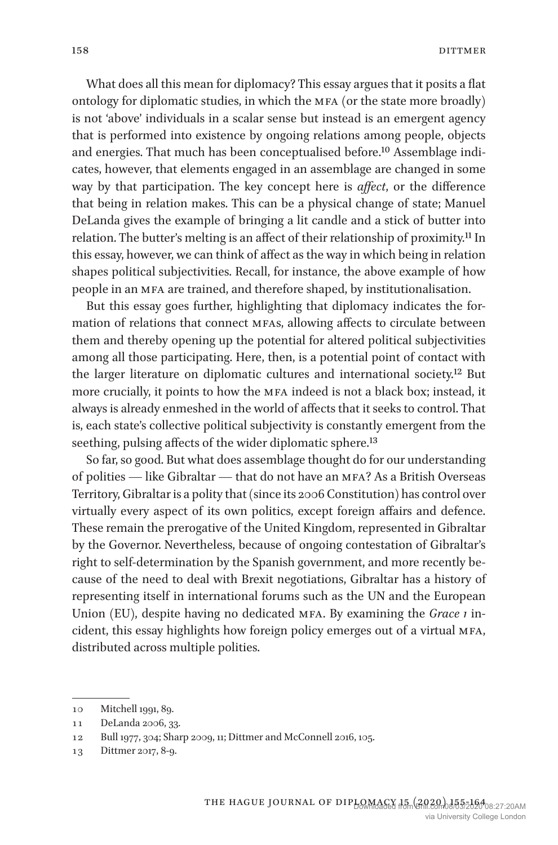What does all this mean for diplomacy? This essay argues that it posits a flat ontology for diplomatic studies, in which the MFA (or the state more broadly) is not 'above' individuals in a scalar sense but instead is an emergent agency that is performed into existence by ongoing relations among people, objects and energies. That much has been conceptualised before.10 Assemblage indicates, however, that elements engaged in an assemblage are changed in some way by that participation. The key concept here is *affect*, or the difference that being in relation makes. This can be a physical change of state; Manuel DeLanda gives the example of bringing a lit candle and a stick of butter into relation. The butter's melting is an affect of their relationship of proximity.11 In this essay, however, we can think of affect as the way in which being in relation shapes political subjectivities. Recall, for instance, the above example of how people in an MFA are trained, and therefore shaped, by institutionalisation.

But this essay goes further, highlighting that diplomacy indicates the formation of relations that connect MFAs, allowing affects to circulate between them and thereby opening up the potential for altered political subjectivities among all those participating. Here, then, is a potential point of contact with the larger literature on diplomatic cultures and international society.12 But more crucially, it points to how the MFA indeed is not a black box; instead, it always is already enmeshed in the world of affects that it seeks to control. That is, each state's collective political subjectivity is constantly emergent from the seething, pulsing affects of the wider diplomatic sphere.<sup>13</sup>

So far, so good. But what does assemblage thought do for our understanding of polities — like Gibraltar — that do not have an MFA? As a British Overseas Territory, Gibraltar is a polity that (since its 2006 Constitution) has control over virtually every aspect of its own politics, except foreign affairs and defence. These remain the prerogative of the United Kingdom, represented in Gibraltar by the Governor. Nevertheless, because of ongoing contestation of Gibraltar's right to self-determination by the Spanish government, and more recently because of the need to deal with Brexit negotiations, Gibraltar has a history of representing itself in international forums such as the UN and the European Union (EU), despite having no dedicated MFA. By examining the *Grace 1* incident, this essay highlights how foreign policy emerges out of a virtual MFA, distributed across multiple polities.

<sup>10</sup> Mitchell 1991, 89.

<sup>11</sup> DeLanda 2006, 33.

<sup>12</sup> Bull 1977, 304; Sharp 2009, 11; Dittmer and McConnell 2016, 105.

<sup>13</sup> Dittmer 2017, 8-9.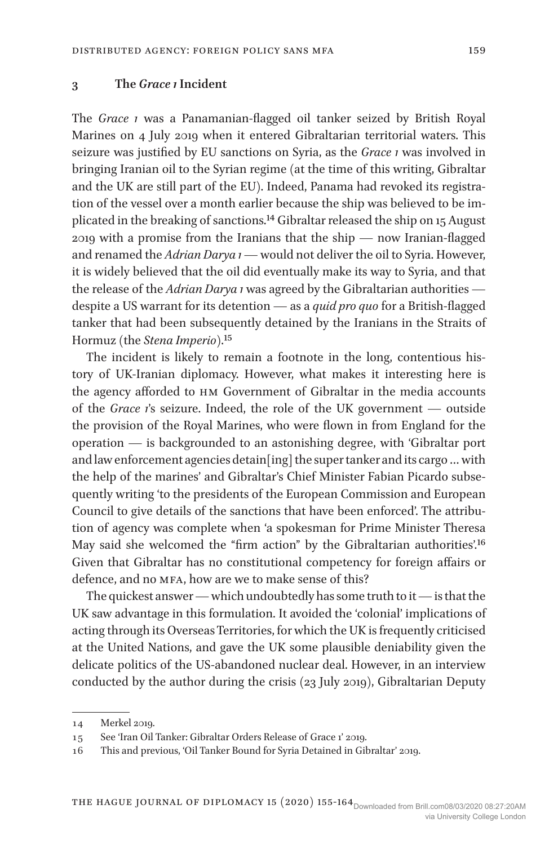#### **3 The** *Grace 1* **Incident**

The *Grace 1* was a Panamanian-flagged oil tanker seized by British Royal Marines on 4 July 2019 when it entered Gibraltarian territorial waters. This seizure was justified by EU sanctions on Syria, as the *Grace 1* was involved in bringing Iranian oil to the Syrian regime (at the time of this writing, Gibraltar and the UK are still part of the EU). Indeed, Panama had revoked its registration of the vessel over a month earlier because the ship was believed to be implicated in the breaking of sanctions.14 Gibraltar released the ship on 15 August 2019 with a promise from the Iranians that the ship — now Iranian-flagged and renamed the *Adrian Darya 1* — would not deliver the oil to Syria. However, it is widely believed that the oil did eventually make its way to Syria, and that the release of the *Adrian Darya 1* was agreed by the Gibraltarian authorities despite a US warrant for its detention — as a *quid pro quo* for a British-flagged tanker that had been subsequently detained by the Iranians in the Straits of Hormuz (the *Stena Imperio*).15

The incident is likely to remain a footnote in the long, contentious history of UK-Iranian diplomacy. However, what makes it interesting here is the agency afforded to HM Government of Gibraltar in the media accounts of the *Grace 1*'s seizure. Indeed, the role of the UK government — outside the provision of the Royal Marines, who were flown in from England for the operation — is backgrounded to an astonishing degree, with 'Gibraltar port and law enforcement agencies detain[ing] the super tanker and its cargo … with the help of the marines' and Gibraltar's Chief Minister Fabian Picardo subsequently writing 'to the presidents of the European Commission and European Council to give details of the sanctions that have been enforced'. The attribution of agency was complete when 'a spokesman for Prime Minister Theresa May said she welcomed the "firm action" by the Gibraltarian authorities'.16 Given that Gibraltar has no constitutional competency for foreign affairs or defence, and no MFA, how are we to make sense of this?

The quickest answer — which undoubtedly has some truth to it — is that the UK saw advantage in this formulation. It avoided the 'colonial' implications of acting through its Overseas Territories, for which the UK is frequently criticised at the United Nations, and gave the UK some plausible deniability given the delicate politics of the US-abandoned nuclear deal. However, in an interview conducted by the author during the crisis (23 July 2019), Gibraltarian Deputy

<sup>14</sup> Merkel 2019.

<sup>15</sup> See 'Iran Oil Tanker: Gibraltar Orders Release of Grace 1' 2019.

<sup>16</sup> This and previous, 'Oil Tanker Bound for Syria Detained in Gibraltar' 2019.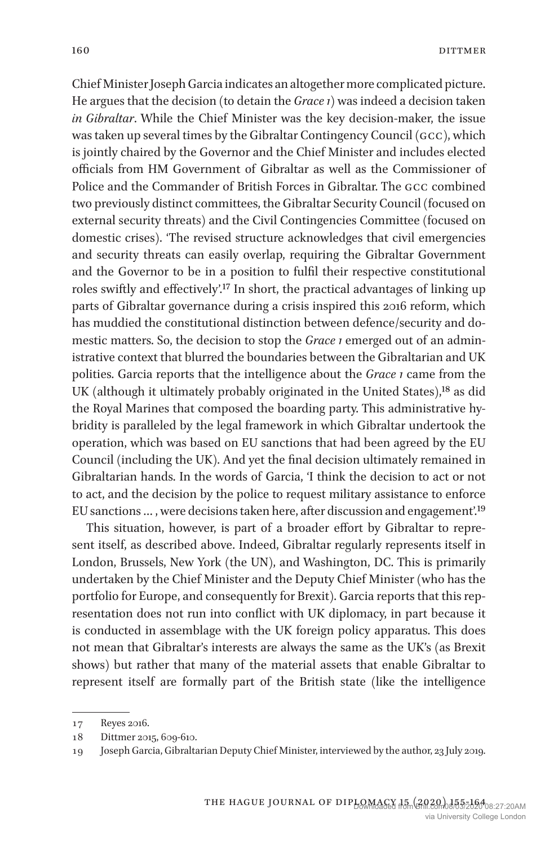Chief Minister Joseph Garcia indicates an altogether more complicated picture. He argues that the decision (to detain the *Grace 1*) was indeed a decision taken *in Gibraltar*. While the Chief Minister was the key decision-maker, the issue was taken up several times by the Gibraltar Contingency Council (GCC), which is jointly chaired by the Governor and the Chief Minister and includes elected officials from HM Government of Gibraltar as well as the Commissioner of Police and the Commander of British Forces in Gibraltar. The GCC combined two previously distinct committees, the Gibraltar Security Council (focused on external security threats) and the Civil Contingencies Committee (focused on domestic crises). 'The revised structure acknowledges that civil emergencies and security threats can easily overlap, requiring the Gibraltar Government and the Governor to be in a position to fulfil their respective constitutional roles swiftly and effectively'.17 In short, the practical advantages of linking up parts of Gibraltar governance during a crisis inspired this 2016 reform, which has muddied the constitutional distinction between defence/security and domestic matters. So, the decision to stop the *Grace 1* emerged out of an administrative context that blurred the boundaries between the Gibraltarian and UK polities. Garcia reports that the intelligence about the *Grace 1* came from the UK (although it ultimately probably originated in the United States),<sup>18</sup> as did the Royal Marines that composed the boarding party. This administrative hybridity is paralleled by the legal framework in which Gibraltar undertook the operation, which was based on EU sanctions that had been agreed by the EU Council (including the UK). And yet the final decision ultimately remained in Gibraltarian hands. In the words of Garcia, 'I think the decision to act or not to act, and the decision by the police to request military assistance to enforce EU sanctions … , were decisions taken here, after discussion and engagement'.19

This situation, however, is part of a broader effort by Gibraltar to represent itself, as described above. Indeed, Gibraltar regularly represents itself in London, Brussels, New York (the UN), and Washington, DC. This is primarily undertaken by the Chief Minister and the Deputy Chief Minister (who has the portfolio for Europe, and consequently for Brexit). Garcia reports that this representation does not run into conflict with UK diplomacy, in part because it is conducted in assemblage with the UK foreign policy apparatus. This does not mean that Gibraltar's interests are always the same as the UK's (as Brexit shows) but rather that many of the material assets that enable Gibraltar to represent itself are formally part of the British state (like the intelligence

<sup>17</sup> Reyes 2016.

<sup>18</sup> Dittmer 2015, 609-610.

<sup>19</sup> Joseph Garcia, Gibraltarian Deputy Chief Minister, interviewed by the author, 23 July 2019.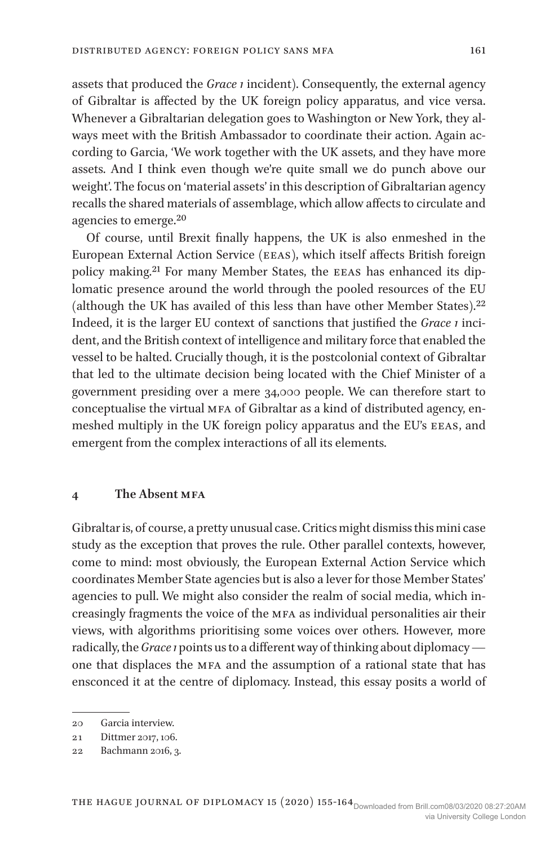assets that produced the *Grace 1* incident). Consequently, the external agency of Gibraltar is affected by the UK foreign policy apparatus, and vice versa. Whenever a Gibraltarian delegation goes to Washington or New York, they always meet with the British Ambassador to coordinate their action. Again according to Garcia, 'We work together with the UK assets, and they have more assets. And I think even though we're quite small we do punch above our weight'. The focus on 'material assets' in this description of Gibraltarian agency recalls the shared materials of assemblage, which allow affects to circulate and agencies to emerge.20

Of course, until Brexit finally happens, the UK is also enmeshed in the European External Action Service (EEAS), which itself affects British foreign policy making.21 For many Member States, the EEAS has enhanced its diplomatic presence around the world through the pooled resources of the EU (although the UK has availed of this less than have other Member States).22 Indeed, it is the larger EU context of sanctions that justified the *Grace 1* incident, and the British context of intelligence and military force that enabled the vessel to be halted. Crucially though, it is the postcolonial context of Gibraltar that led to the ultimate decision being located with the Chief Minister of a government presiding over a mere 34,000 people. We can therefore start to conceptualise the virtual MFA of Gibraltar as a kind of distributed agency, enmeshed multiply in the UK foreign policy apparatus and the EU's EEAS, and emergent from the complex interactions of all its elements.

#### **4 The Absent MFA**

Gibraltar is, of course, a pretty unusual case. Critics might dismiss this mini case study as the exception that proves the rule. Other parallel contexts, however, come to mind: most obviously, the European External Action Service which coordinates Member State agencies but is also a lever for those Member States' agencies to pull. We might also consider the realm of social media, which increasingly fragments the voice of the MFA as individual personalities air their views, with algorithms prioritising some voices over others. However, more radically, the *Grace 1* points us to a different way of thinking about diplomacy one that displaces the MFA and the assumption of a rational state that has ensconced it at the centre of diplomacy. Instead, this essay posits a world of

<sup>20</sup> Garcia interview.

<sup>21</sup> Dittmer 2017, 106.

<sup>22</sup> Bachmann 2016, 3.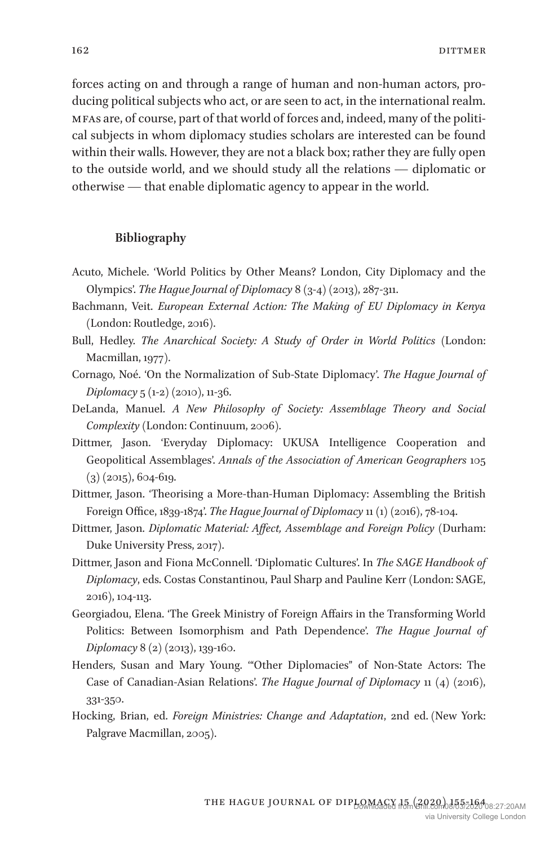forces acting on and through a range of human and non-human actors, producing political subjects who act, or are seen to act, in the international realm. MFAs are, of course, part of that world of forces and, indeed, many of the political subjects in whom diplomacy studies scholars are interested can be found within their walls. However, they are not a black box; rather they are fully open to the outside world, and we should study all the relations — diplomatic or otherwise — that enable diplomatic agency to appear in the world.

#### **Bibliography**

- Acuto, Michele. 'World Politics by Other Means? London, City Diplomacy and the Olympics'. *The Hague Journal of Diplomacy* 8 (3-4) (2013), 287-311.
- Bachmann, Veit. *European External Action: The Making of EU Diplomacy in Kenya* (London: Routledge, 2016).
- Bull, Hedley. *The Anarchical Society: A Study of Order in World Politics* (London: Macmillan, 1977).
- Cornago, Noé. 'On the Normalization of Sub-State Diplomacy'. *The Hague Journal of Diplomacy* 5 (1-2) (2010), 11-36.
- DeLanda, Manuel. *A New Philosophy of Society: Assemblage Theory and Social Complexity* (London: Continuum, 2006).
- Dittmer, Jason. 'Everyday Diplomacy: UKUSA Intelligence Cooperation and Geopolitical Assemblages'. *Annals of the Association of American Geographers* 105  $(3)$  (2015), 604-619.
- Dittmer, Jason. 'Theorising a More-than-Human Diplomacy: Assembling the British Foreign Office, 1839-1874'. *The Hague Journal of Diplomacy* 11 (1) (2016), 78-104.
- Dittmer, Jason. *Diplomatic Material: Affect, Assemblage and Foreign Policy* (Durham: Duke University Press, 2017).
- Dittmer, Jason and Fiona McConnell. 'Diplomatic Cultures'. In *The SAGE Handbook of Diplomacy*, eds. Costas Constantinou, Paul Sharp and Pauline Kerr (London: SAGE, 2016), 104-113.
- Georgiadou, Elena. 'The Greek Ministry of Foreign Affairs in the Transforming World Politics: Between Isomorphism and Path Dependence'. *The Hague Journal of Diplomacy* 8 (2) (2013), 139-160.
- Henders, Susan and Mary Young. '"Other Diplomacies" of Non-State Actors: The Case of Canadian-Asian Relations'. *The Hague Journal of Diplomacy* 11 (4) (2016), 331-350.
- Hocking, Brian, ed. *Foreign Ministries: Change and Adaptation*, 2nd ed. (New York: Palgrave Macmillan, 2005).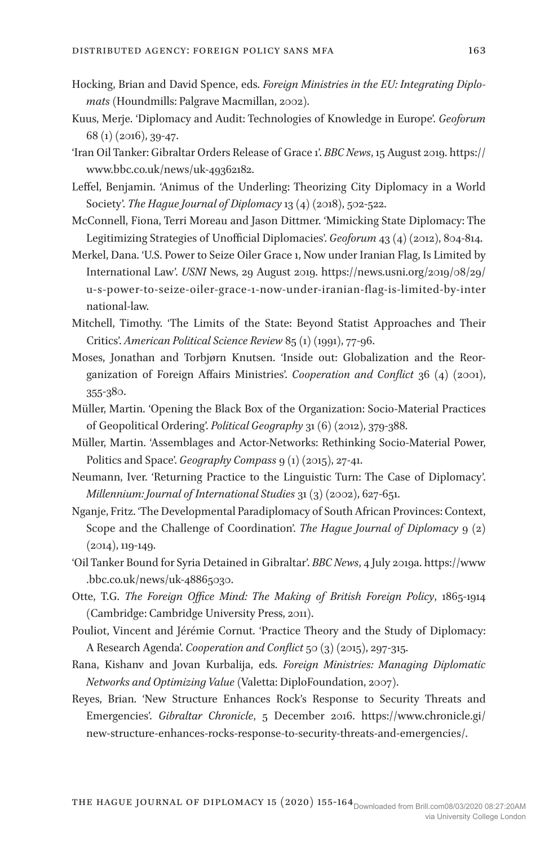- Hocking, Brian and David Spence, eds. *Foreign Ministries in the EU: Integrating Diplomats* (Houndmills: Palgrave Macmillan, 2002).
- Kuus, Merje. 'Diplomacy and Audit: Technologies of Knowledge in Europe'. *Geoforum* 68 (1) (2016), 39-47.
- 'Iran Oil Tanker: Gibraltar Orders Release of Grace 1'. *BBC News*, 15 August 2019. https:// www.bbc.co.uk/news/uk-49362182.
- Leffel, Benjamin. 'Animus of the Underling: Theorizing City Diplomacy in a World Society'. *The Hague Journal of Diplomacy* 13 (4) (2018), 502-522.
- McConnell, Fiona, Terri Moreau and Jason Dittmer. 'Mimicking State Diplomacy: The Legitimizing Strategies of Unofficial Diplomacies'. *Geoforum* 43 (4) (2012), 804-814.
- Merkel, Dana. 'U.S. Power to Seize Oiler Grace 1, Now under Iranian Flag, Is Limited by International Law'. *USNI* News, 29 August 2019. https://news.usni.org/2019/08/29/ u-s-power-to-seize-oiler-grace-1-now-under-iranian-flag-is-limited-by-inter national-law.
- Mitchell, Timothy. 'The Limits of the State: Beyond Statist Approaches and Their Critics'. *American Political Science Review* 85 (1) (1991), 77-96.
- Moses, Jonathan and Torbjørn Knutsen. 'Inside out: Globalization and the Reorganization of Foreign Affairs Ministries'. *Cooperation and Conflict* 36 (4) (2001), 355-380.
- Müller, Martin. 'Opening the Black Box of the Organization: Socio-Material Practices of Geopolitical Ordering'. *Political Geography* 31 (6) (2012), 379-388.
- Müller, Martin. 'Assemblages and Actor-Networks: Rethinking Socio-Material Power, Politics and Space'. *Geography Compass* 9 (1) (2015), 27-41.
- Neumann, Iver. 'Returning Practice to the Linguistic Turn: The Case of Diplomacy'. *Millennium: Journal of International Studies* 31 (3) (2002), 627-651.
- Nganje, Fritz. 'The Developmental Paradiplomacy of South African Provinces: Context, Scope and the Challenge of Coordination'. *The Hague Journal of Diplomacy* 9 (2) (2014), 119-149.
- 'Oil Tanker Bound for Syria Detained in Gibraltar'. *BBC News*, 4 July 2019a. https://www .bbc.co.uk/news/uk-48865030.
- Otte, T.G. *The Foreign Office Mind: The Making of British Foreign Policy*, 1865-1914 (Cambridge: Cambridge University Press, 2011).
- Pouliot, Vincent and Jérémie Cornut. 'Practice Theory and the Study of Diplomacy: A Research Agenda'. *Cooperation and Conflict* 50 (3) (2015), 297-315.
- Rana, Kishanv and Jovan Kurbalija, eds. *Foreign Ministries: Managing Diplomatic Networks and Optimizing Value* (Valetta: DiploFoundation, 2007).
- Reyes, Brian. 'New Structure Enhances Rock's Response to Security Threats and Emergencies'. *Gibraltar Chronicle*, 5 December 2016. https://www.chronicle.gi/ new-structure-enhances-rocks-response-to-security-threats-and-emergencies/.